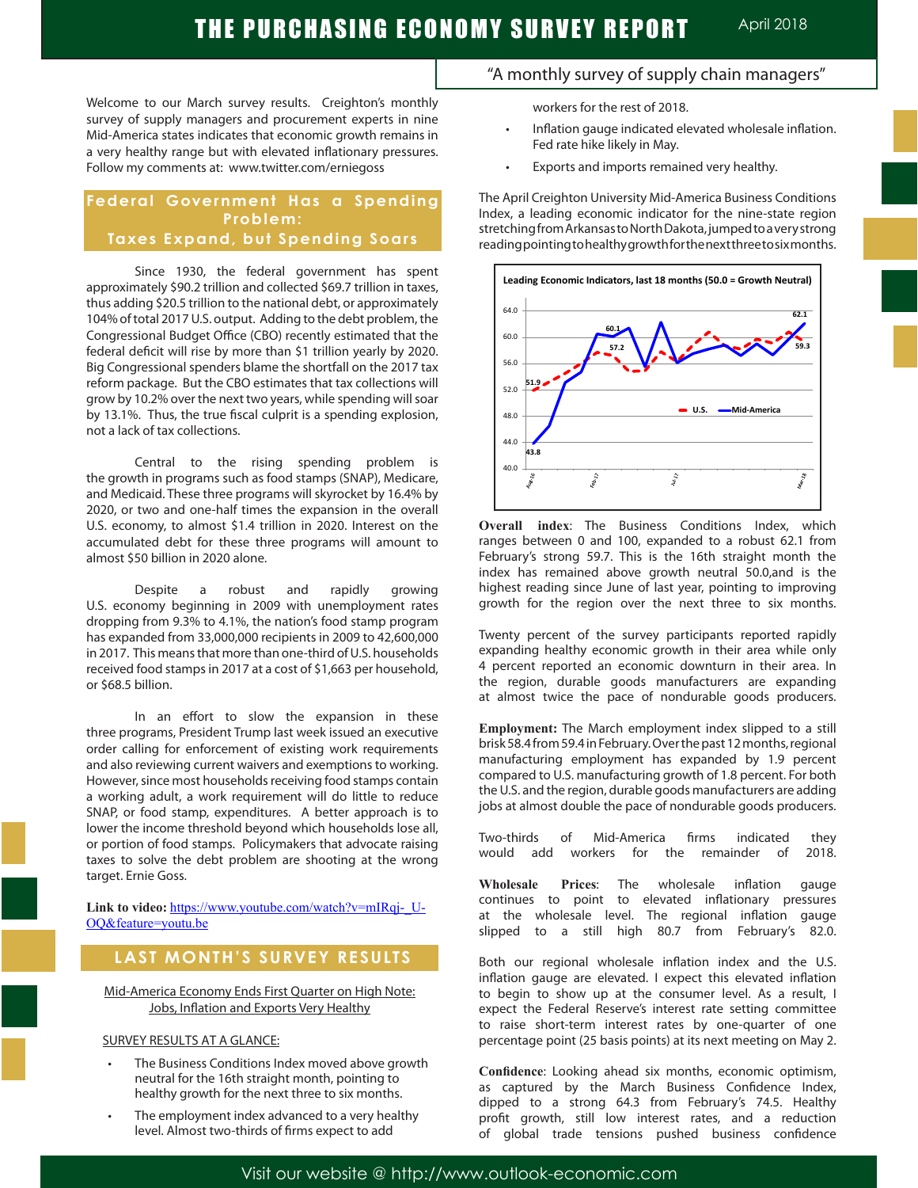Welcome to our March survey results. Creighton's monthly survey of supply managers and procurement experts in nine Mid-America states indicates that economic growth remains in a very healthy range but with elevated inflationary pressures. Follow my comments at: www.twitter.com/erniegoss

### **Federal Government Has a Spending Problem: Taxes Expand, but Spending Soars**

Since 1930, the federal government has spent approximately \$90.2 trillion and collected \$69.7 trillion in taxes, thus adding \$20.5 trillion to the national debt, or approximately 104% of total 2017 U.S. output. Adding to the debt problem, the Congressional Budget Office (CBO) recently estimated that the federal deficit will rise by more than \$1 trillion yearly by 2020. Big Congressional spenders blame the shortfall on the 2017 tax reform package. But the CBO estimates that tax collections will grow by 10.2% over the next two years, while spending will soar by 13.1%. Thus, the true fiscal culprit is a spending explosion, not a lack of tax collections.

Central to the rising spending problem is the growth in programs such as food stamps (SNAP), Medicare, and Medicaid. These three programs will skyrocket by 16.4% by 2020, or two and one-half times the expansion in the overall U.S. economy, to almost \$1.4 trillion in 2020. Interest on the accumulated debt for these three programs will amount to almost \$50 billion in 2020 alone.

Despite a robust and rapidly growing U.S. economy beginning in 2009 with unemployment rates dropping from 9.3% to 4.1%, the nation's food stamp program has expanded from 33,000,000 recipients in 2009 to 42,600,000 in 2017. This means that more than one-third of U.S. households received food stamps in 2017 at a cost of \$1,663 per household, or \$68.5 billion.

In an effort to slow the expansion in these three programs, President Trump last week issued an executive order calling for enforcement of existing work requirements and also reviewing current waivers and exemptions to working. However, since most households receiving food stamps contain a working adult, a work requirement will do little to reduce SNAP, or food stamp, expenditures. A better approach is to lower the income threshold beyond which households lose all, or portion of food stamps. Policymakers that advocate raising taxes to solve the debt problem are shooting at the wrong target. Ernie Goss.

Link to video: https://www.youtube.com/watch?v=mIRqj-U-OQ&feature=youtu.be

# **LAST MONTH'S SURVEY RESULTS**

Mid-America Economy Ends First Quarter on High Note: Jobs, Inflation and Exports Very Healthy

### SURVEY RESULTS AT A GLANCE:

- The Business Conditions Index moved above growth neutral for the 16th straight month, pointing to healthy growth for the next three to six months.
- The employment index advanced to a very healthy level. Almost two-thirds of firms expect to add

## "A monthly survey of supply chain managers"

workers for the rest of 2018.

- Inflation gauge indicated elevated wholesale inflation. Fed rate hike likely in May.
- Exports and imports remained very healthy.

The April Creighton University Mid-America Business Conditions Index, a leading economic indicator for the nine-state region stretching from Arkansas to North Dakota, jumped to a very strong reading pointing to healthy growth for the next three to six months.



**Overall index**: The Business Conditions Index, which ranges between 0 and 100, expanded to a robust 62.1 from February's strong 59.7. This is the 16th straight month the index has remained above growth neutral 50.0,and is the highest reading since June of last year, pointing to improving growth for the region over the next three to six months.

Twenty percent of the survey participants reported rapidly expanding healthy economic growth in their area while only 4 percent reported an economic downturn in their area. In the region, durable goods manufacturers are expanding at almost twice the pace of nondurable goods producers.

**Employment:** The March employment index slipped to a still brisk 58.4 from 59.4 in February. Over the past 12 months, regional manufacturing employment has expanded by 1.9 percent compared to U.S. manufacturing growth of 1.8 percent. For both the U.S. and the region, durable goods manufacturers are adding jobs at almost double the pace of nondurable goods producers.

Two-thirds of Mid-America firms indicated they would add workers for the remainder of 2018.

**Wholesale Prices**: The wholesale inflation gauge continues to point to elevated inflationary pressures at the wholesale level. The regional inflation gauge slipped to a still high 80.7 from February's 82.0.

Both our regional wholesale inflation index and the U.S. inflation gauge are elevated. I expect this elevated inflation to begin to show up at the consumer level. As a result, I expect the Federal Reserve's interest rate setting committee to raise short-term interest rates by one-quarter of one percentage point (25 basis points) at its next meeting on May 2.

**Confidence**: Looking ahead six months, economic optimism, as captured by the March Business Confidence Index, dipped to a strong 64.3 from February's 74.5. Healthy profit growth, still low interest rates, and a reduction of global trade tensions pushed business confidence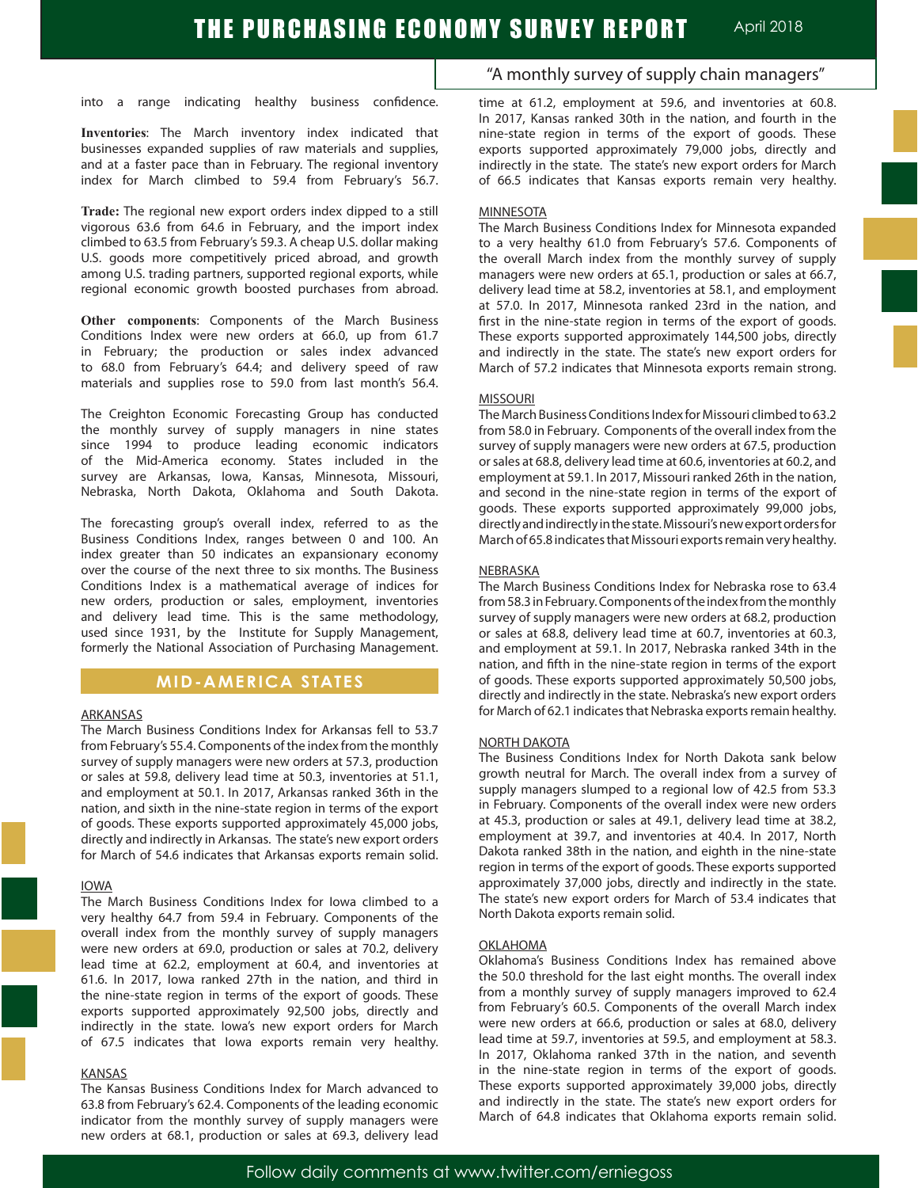into a range indicating healthy business confidence.

**Inventories**: The March inventory index indicated that businesses expanded supplies of raw materials and supplies, and at a faster pace than in February. The regional inventory index for March climbed to 59.4 from February's 56.7.

**Trade:** The regional new export orders index dipped to a still vigorous 63.6 from 64.6 in February, and the import index climbed to 63.5 from February's 59.3. A cheap U.S. dollar making U.S. goods more competitively priced abroad, and growth among U.S. trading partners, supported regional exports, while regional economic growth boosted purchases from abroad.

**Other components**: Components of the March Business Conditions Index were new orders at 66.0, up from 61.7 in February; the production or sales index advanced to 68.0 from February's 64.4; and delivery speed of raw materials and supplies rose to 59.0 from last month's 56.4.

The Creighton Economic Forecasting Group has conducted the monthly survey of supply managers in nine states since 1994 to produce leading economic indicators of the Mid-America economy. States included in the survey are Arkansas, Iowa, Kansas, Minnesota, Missouri, Nebraska, North Dakota, Oklahoma and South Dakota.

The forecasting group's overall index, referred to as the Business Conditions Index, ranges between 0 and 100. An index greater than 50 indicates an expansionary economy over the course of the next three to six months. The Business Conditions Index is a mathematical average of indices for new orders, production or sales, employment, inventories and delivery lead time. This is the same methodology, used since 1931, by the Institute for Supply Management, formerly the National Association of Purchasing Management.

### **MID-AMERICA STATES**

### ARKANSAS

The March Business Conditions Index for Arkansas fell to 53.7 from February's 55.4. Components of the index from the monthly survey of supply managers were new orders at 57.3, production or sales at 59.8, delivery lead time at 50.3, inventories at 51.1, and employment at 50.1. In 2017, Arkansas ranked 36th in the nation, and sixth in the nine-state region in terms of the export of goods. These exports supported approximately 45,000 jobs, directly and indirectly in Arkansas. The state's new export orders for March of 54.6 indicates that Arkansas exports remain solid.

#### IOWA

The March Business Conditions Index for Iowa climbed to a very healthy 64.7 from 59.4 in February. Components of the overall index from the monthly survey of supply managers were new orders at 69.0, production or sales at 70.2, delivery lead time at 62.2, employment at 60.4, and inventories at 61.6. In 2017, Iowa ranked 27th in the nation, and third in the nine-state region in terms of the export of goods. These exports supported approximately 92,500 jobs, directly and indirectly in the state. Iowa's new export orders for March of 67.5 indicates that Iowa exports remain very healthy.

#### KANSAS

The Kansas Business Conditions Index for March advanced to 63.8 from February's 62.4. Components of the leading economic indicator from the monthly survey of supply managers were new orders at 68.1, production or sales at 69.3, delivery lead

### "A monthly survey of supply chain managers"

time at 61.2, employment at 59.6, and inventories at 60.8. In 2017, Kansas ranked 30th in the nation, and fourth in the nine-state region in terms of the export of goods. These exports supported approximately 79,000 jobs, directly and indirectly in the state. The state's new export orders for March of 66.5 indicates that Kansas exports remain very healthy.

#### **MINNESOTA**

The March Business Conditions Index for Minnesota expanded to a very healthy 61.0 from February's 57.6. Components of the overall March index from the monthly survey of supply managers were new orders at 65.1, production or sales at 66.7, delivery lead time at 58.2, inventories at 58.1, and employment at 57.0. In 2017, Minnesota ranked 23rd in the nation, and first in the nine-state region in terms of the export of goods. These exports supported approximately 144,500 jobs, directly and indirectly in the state. The state's new export orders for March of 57.2 indicates that Minnesota exports remain strong.

#### MISSOURI

The March Business Conditions Index for Missouri climbed to 63.2 from 58.0 in February. Components of the overall index from the survey of supply managers were new orders at 67.5, production or sales at 68.8, delivery lead time at 60.6, inventories at 60.2, and employment at 59.1. In 2017, Missouri ranked 26th in the nation, and second in the nine-state region in terms of the export of goods. These exports supported approximately 99,000 jobs, directly and indirectly in the state. Missouri's new export orders for March of 65.8 indicates that Missouri exports remain very healthy.

#### NEBRASKA

The March Business Conditions Index for Nebraska rose to 63.4 from 58.3 in February. Components of the index from the monthly survey of supply managers were new orders at 68.2, production or sales at 68.8, delivery lead time at 60.7, inventories at 60.3, and employment at 59.1. In 2017, Nebraska ranked 34th in the nation, and fifth in the nine-state region in terms of the export of goods. These exports supported approximately 50,500 jobs, directly and indirectly in the state. Nebraska's new export orders for March of 62.1 indicates that Nebraska exports remain healthy.

#### NORTH DAKOTA

The Business Conditions Index for North Dakota sank below growth neutral for March. The overall index from a survey of supply managers slumped to a regional low of 42.5 from 53.3 in February. Components of the overall index were new orders at 45.3, production or sales at 49.1, delivery lead time at 38.2, employment at 39.7, and inventories at 40.4. In 2017, North Dakota ranked 38th in the nation, and eighth in the nine-state region in terms of the export of goods. These exports supported approximately 37,000 jobs, directly and indirectly in the state. The state's new export orders for March of 53.4 indicates that North Dakota exports remain solid.

#### OKLAHOMA

Oklahoma's Business Conditions Index has remained above the 50.0 threshold for the last eight months. The overall index from a monthly survey of supply managers improved to 62.4 from February's 60.5. Components of the overall March index were new orders at 66.6, production or sales at 68.0, delivery lead time at 59.7, inventories at 59.5, and employment at 58.3. In 2017, Oklahoma ranked 37th in the nation, and seventh in the nine-state region in terms of the export of goods. These exports supported approximately 39,000 jobs, directly and indirectly in the state. The state's new export orders for March of 64.8 indicates that Oklahoma exports remain solid.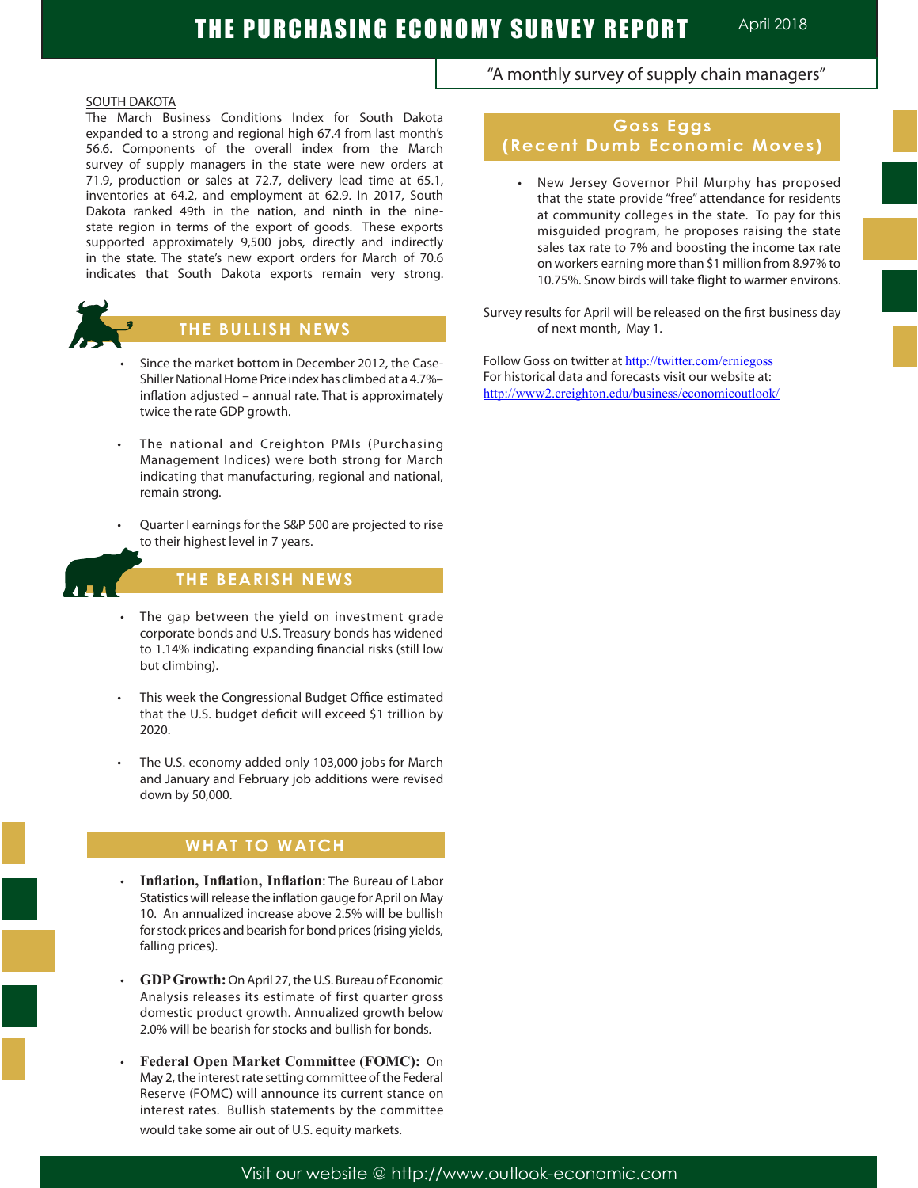### SOUTH DAKOTA

The March Business Conditions Index for South Dakota expanded to a strong and regional high 67.4 from last month's 56.6. Components of the overall index from the March survey of supply managers in the state were new orders at 71.9, production or sales at 72.7, delivery lead time at 65.1, inventories at 64.2, and employment at 62.9. In 2017, South Dakota ranked 49th in the nation, and ninth in the ninestate region in terms of the export of goods. These exports supported approximately 9,500 jobs, directly and indirectly in the state. The state's new export orders for March of 70.6 indicates that South Dakota exports remain very strong.



## **THE BULLISH NEWS**

- Since the market bottom in December 2012, the Case-Shiller National Home Price index has climbed at a 4.7%– inflation adjusted – annual rate. That is approximately twice the rate GDP growth.
- The national and Creighton PMIs (Purchasing Management Indices) were both strong for March indicating that manufacturing, regional and national, remain strong.
- Quarter I earnings for the S&P 500 are projected to rise to their highest level in 7 years.



Ĩ

## **THE BEARISH NEWS**

- The gap between the yield on investment grade corporate bonds and U.S. Treasury bonds has widened to 1.14% indicating expanding financial risks (still low but climbing).
- This week the Congressional Budget Office estimated that the U.S. budget deficit will exceed \$1 trillion by 2020.
- The U.S. economy added only 103,000 jobs for March and January and February job additions were revised down by 50,000.

# **WHAT TO WATCH**

- **Inflation, Inflation, Inflation:** The Bureau of Labor Statistics will release the inflation gauge for April on May 10. An annualized increase above 2.5% will be bullish for stock prices and bearish for bond prices (rising yields, falling prices).
- **GDP Growth:** On April 27, the U.S. Bureau of Economic Analysis releases its estimate of first quarter gross domestic product growth. Annualized growth below 2.0% will be bearish for stocks and bullish for bonds.
- **Federal Open Market Committee (FOMC):** On May 2, the interest rate setting committee of the Federal Reserve (FOMC) will announce its current stance on interest rates. Bullish statements by the committee would take some air out of U.S. equity markets.

## "A monthly survey of supply chain managers"

## **Goss Eggs (Recent Dumb Economic Moves)**

New Jersey Governor Phil Murphy has proposed that the state provide "free" attendance for residents at community colleges in the state. To pay for this misguided program, he proposes raising the state sales tax rate to 7% and boosting the income tax rate on workers earning more than \$1 million from 8.97% to 10.75%. Snow birds will take flight to warmer environs.

Survey results for April will be released on the first business day of next month, May 1.

Follow Goss on twitter at http://twitter.com/erniegoss For historical data and forecasts visit our website at: http://www2.creighton.edu/business/economicoutlook/